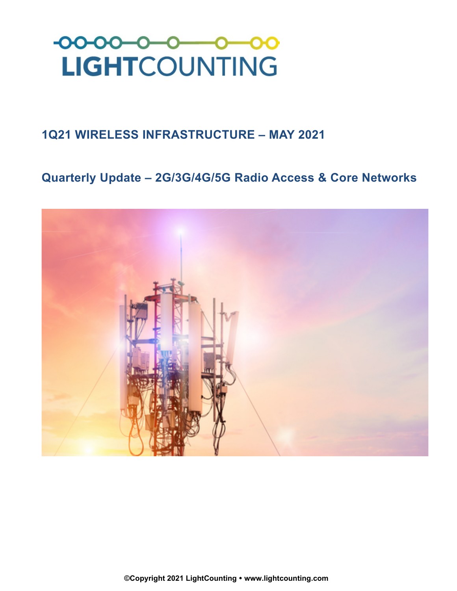

## **1Q21 WIRELESS INFRASTRUCTURE – MAY 2021**

# **Quarterly Update – 2G/3G/4G/5G Radio Access & Core Networks**

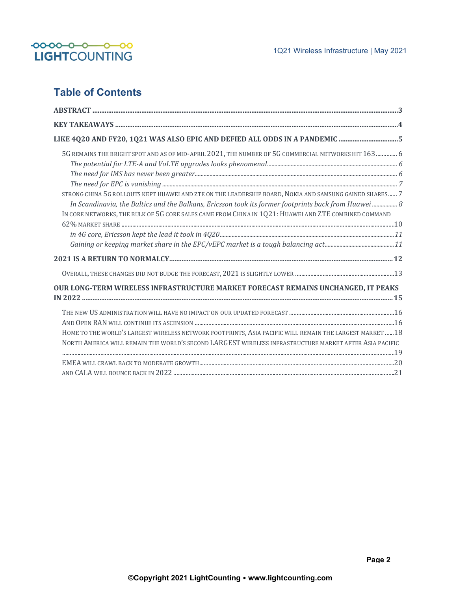

### **Table of Contents**

| LIKE 4Q20 AND FY20, 1Q21 WAS ALSO EPIC AND DEFIED ALL ODDS IN A PANDEMIC 5                               |
|----------------------------------------------------------------------------------------------------------|
| 5G REMAINS THE BRIGHT SPOT AND AS OF MID-APRIL 2021, THE NUMBER OF 5G COMMERCIAL NETWORKS HIT 163  6     |
|                                                                                                          |
|                                                                                                          |
|                                                                                                          |
| STRONG CHINA 5G ROLLOUTS KEPT HUAWEI AND ZTE ON THE LEADERSHIP BOARD, NOKIA AND SAMSUNG GAINED SHARES 7  |
| In Scandinavia, the Baltics and the Balkans, Ericsson took its former footprints back from Huawei  8     |
| IN CORE NETWORKS, THE BULK OF 5G CORE SALES CAME FROM CHINA IN 1Q21: HUAWEI AND ZTE COMBINED COMMAND     |
|                                                                                                          |
|                                                                                                          |
|                                                                                                          |
|                                                                                                          |
|                                                                                                          |
| OUR LONG-TERM WIRELESS INFRASTRUCTURE MARKET FORECAST REMAINS UNCHANGED, IT PEAKS                        |
|                                                                                                          |
|                                                                                                          |
|                                                                                                          |
| HOME TO THE WORLD'S LARGEST WIRELESS NETWORK FOOTPRINTS, ASIA PACIFIC WILL REMAIN THE LARGEST MARKET  18 |
| NORTH AMERICA WILL REMAIN THE WORLD'S SECOND LARGEST WIRELESS INFRASTRUCTURE MARKET AFTER ASIA PACIFIC   |
|                                                                                                          |
|                                                                                                          |
|                                                                                                          |